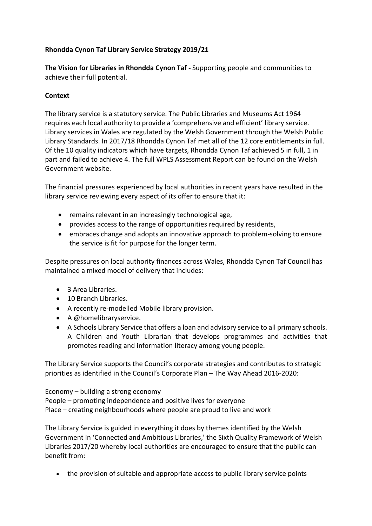# **Rhondda Cynon Taf Library Service Strategy 2019/21**

**The Vision for Libraries in Rhondda Cynon Taf -** Supporting people and communities to achieve their full potential.

#### **Context**

The library service is a statutory service. The Public Libraries and Museums Act 1964 requires each local authority to provide a 'comprehensive and efficient' library service. Library services in Wales are regulated by the Welsh Government through the Welsh Public Library Standards. In 2017/18 Rhondda Cynon Taf met all of the 12 core entitlements in full. Of the 10 quality indicators which have targets, Rhondda Cynon Taf achieved 5 in full, 1 in part and failed to achieve 4. The full WPLS Assessment Report can be found on the Welsh Government website.

The financial pressures experienced by local authorities in recent years have resulted in the library service reviewing every aspect of its offer to ensure that it:

- remains relevant in an increasingly technological age,
- provides access to the range of opportunities required by residents,
- embraces change and adopts an innovative approach to problem-solving to ensure the service is fit for purpose for the longer term.

Despite pressures on local authority finances across Wales, Rhondda Cynon Taf Council has maintained a mixed model of delivery that includes:

- 3 Area Libraries.
- 10 Branch Libraries.
- A recently re-modelled Mobile library provision.
- A @homelibraryservice.
- A Schools Library Service that offers a loan and advisory service to all primary schools. A Children and Youth Librarian that develops programmes and activities that promotes reading and information literacy among young people.

The Library Service supports the Council's corporate strategies and contributes to strategic priorities as identified in the Council's Corporate Plan – The Way Ahead 2016-2020:

Economy – building a strong economy People – promoting independence and positive lives for everyone Place – creating neighbourhoods where people are proud to live and work

The Library Service is guided in everything it does by themes identified by the Welsh Government in 'Connected and Ambitious Libraries,' the Sixth Quality Framework of Welsh Libraries 2017/20 whereby local authorities are encouraged to ensure that the public can benefit from:

• the provision of suitable and appropriate access to public library service points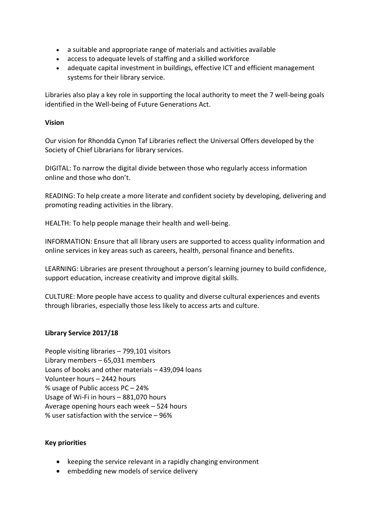- a suitable and appropriate range of materials and activities available
- access to adequate levels of staffing and a skilled workforce
- adequate capital investment in buildings, effective ICT and efficient management systems for their library service.

Libraries also play a key role in supporting the local authority to meet the 7 well-being goals identified in the Well-being of Future Generations Act.

## **Vision**

Our vision for Rhondda Cynon Taf Libraries reflect the Universal Offers developed by the Society of Chief Librarians for library services.

DIGITAL: To narrow the digital divide between those who regularly access information online and those who don't.

READING: To help create a more literate and confident society by developing, delivering and promoting reading activities in the library.

HEALTH: To help people manage their health and well-being.

INFORMATION: Ensure that all library users are supported to access quality information and online services in key areas such as careers, health, personal finance and benefits.

LEARNING: Libraries are present throughout a person's learning journey to build confidence, support education, increase creativity and improve digital skills.

CULTURE: More people have access to quality and diverse cultural experiences and events through libraries, especially those less likely to access arts and culture.

## **Library Service 2017/18**

People visiting libraries – 799,101 visitors Library members – 65,031 members Loans of books and other materials – 439,094 loans Volunteer hours – 2442 hours % usage of Public access PC – 24% Usage of Wi-Fi in hours – 881,070 hours Average opening hours each week – 524 hours % user satisfaction with the service – 96%

#### **Key priorities**

- keeping the service relevant in a rapidly changing environment
- embedding new models of service delivery